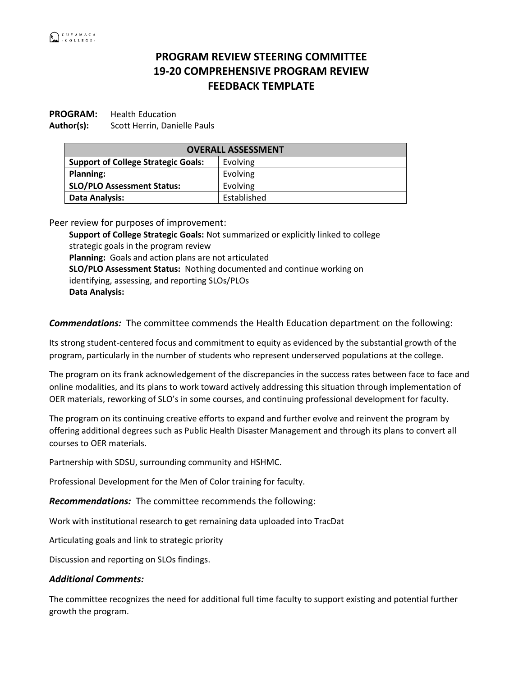## **PROGRAM REVIEW STEERING COMMITTEE 19-20 COMPREHENSIVE PROGRAM REVIEW FEEDBACK TEMPLATE**

**PROGRAM:** Health Education **Author(s):** Scott Herrin, Danielle Pauls

| <b>OVERALL ASSESSMENT</b>                  |             |
|--------------------------------------------|-------------|
| <b>Support of College Strategic Goals:</b> | Evolving    |
| <b>Planning:</b>                           | Evolving    |
| <b>SLO/PLO Assessment Status:</b>          | Evolving    |
| <b>Data Analysis:</b>                      | Established |

Peer review for purposes of improvement:

**Support of College Strategic Goals:** Not summarized or explicitly linked to college strategic goals in the program review **Planning:** Goals and action plans are not articulated **SLO/PLO Assessment Status:** Nothing documented and continue working on identifying, assessing, and reporting SLOs/PLOs **Data Analysis:**

*Commendations:* The committee commends the Health Education department on the following:

Its strong student-centered focus and commitment to equity as evidenced by the substantial growth of the program, particularly in the number of students who represent underserved populations at the college.

The program on its frank acknowledgement of the discrepancies in the success rates between face to face and online modalities, and its plans to work toward actively addressing this situation through implementation of OER materials, reworking of SLO's in some courses, and continuing professional development for faculty.

The program on its continuing creative efforts to expand and further evolve and reinvent the program by offering additional degrees such as Public Health Disaster Management and through its plans to convert all courses to OER materials.

Partnership with SDSU, surrounding community and HSHMC.

Professional Development for the Men of Color training for faculty.

*Recommendations:* The committee recommends the following:

Work with institutional research to get remaining data uploaded into TracDat

Articulating goals and link to strategic priority

Discussion and reporting on SLOs findings.

## *Additional Comments:*

The committee recognizes the need for additional full time faculty to support existing and potential further growth the program.